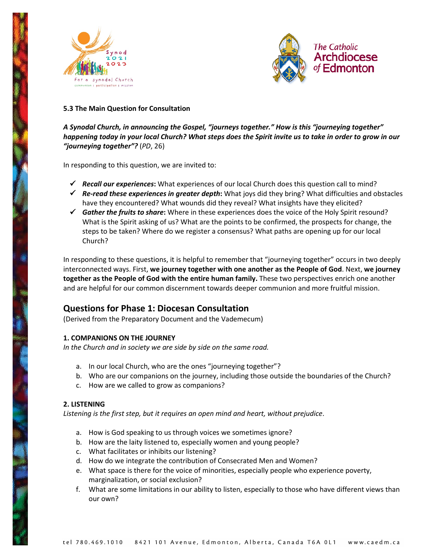



# **5.3 The Main Question for Consultation**

*A Synodal Church, in announcing the Gospel, "journeys together." How is this "journeying together" happening today in your local Church? What steps does the Spirit invite us to take in order to grow in our "journeying together"?* (*PD*, 26)

In responding to this question, we are invited to:

- *Recall our experiences***:** What experiences of our local Church does this question call to mind?
- *Re-read these experiences in greater depth***:** What joys did they bring? What difficulties and obstacles have they encountered? What wounds did they reveal? What insights have they elicited?
- *Gather the fruits to share***:** Where in these experiences does the voice of the Holy Spirit resound? What is the Spirit asking of us? What are the points to be confirmed, the prospects for change, the steps to be taken? Where do we register a consensus? What paths are opening up for our local Church?

In responding to these questions, it is helpful to remember that "journeying together" occurs in two deeply interconnected ways. First, **we journey together with one another as the People of God**. Next, **we journey together as the People of God with the entire human family.** These two perspectives enrich one another and are helpful for our common discernment towards deeper communion and more fruitful mission.

# **Questions for Phase 1: Diocesan Consultation**

(Derived from the Preparatory Document and the Vademecum)

#### **1. COMPANIONS ON THE JOURNEY**

*In the Church and in society we are side by side on the same road.* 

- a. In our local Church, who are the ones "journeying together"?
- b. Who are our companions on the journey, including those outside the boundaries of the Church?
- c. How are we called to grow as companions?

#### **2. LISTENING**

*Listening is the first step, but it requires an open mind and heart, without prejudice*.

- a. How is God speaking to us through voices we sometimes ignore?
- b. How are the laity listened to, especially women and young people?
- c. What facilitates or inhibits our listening?
- d. How do we integrate the contribution of Consecrated Men and Women?
- e. What space is there for the voice of minorities, especially people who experience poverty, marginalization, or social exclusion?
- f. What are some limitations in our ability to listen, especially to those who have different views than our own?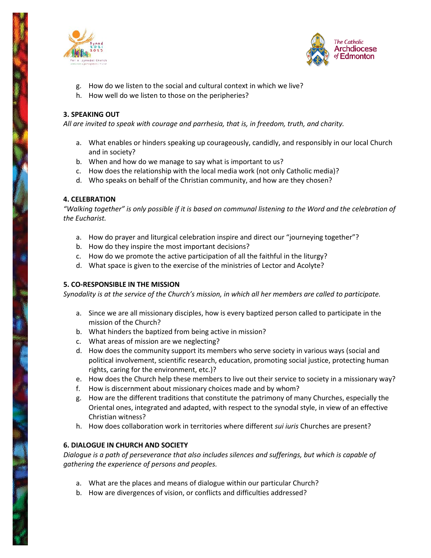



- g. How do we listen to the social and cultural context in which we live?
- h. How well do we listen to those on the peripheries?

# **3. SPEAKING OUT**

*All are invited to speak with courage and parrhesia, that is, in freedom, truth, and charity.* 

- a. What enables or hinders speaking up courageously, candidly, and responsibly in our local Church and in society?
- b. When and how do we manage to say what is important to us?
- c. How does the relationship with the local media work (not only Catholic media)?
- d. Who speaks on behalf of the Christian community, and how are they chosen?

#### **4. CELEBRATION**

*"Walking together" is only possible if it is based on communal listening to the Word and the celebration of the Eucharist.* 

- a. How do prayer and liturgical celebration inspire and direct our "journeying together"?
- b. How do they inspire the most important decisions?
- c. How do we promote the active participation of all the faithful in the liturgy?
- d. What space is given to the exercise of the ministries of Lector and Acolyte?

#### **5. CO-RESPONSIBLE IN THE MISSION**

*Synodality is at the service of the Church's mission, in which all her members are called to participate.* 

- a. Since we are all missionary disciples, how is every baptized person called to participate in the mission of the Church?
- b. What hinders the baptized from being active in mission?
- c. What areas of mission are we neglecting?
- d. How does the community support its members who serve society in various ways (social and political involvement, scientific research, education, promoting social justice, protecting human rights, caring for the environment, etc.)?
- e. How does the Church help these members to live out their service to society in a missionary way?
- f. How is discernment about missionary choices made and by whom?
- g. How are the different traditions that constitute the patrimony of many Churches, especially the Oriental ones, integrated and adapted, with respect to the synodal style, in view of an effective Christian witness?
- h. How does collaboration work in territories where different *sui iuris* Churches are present?

#### **6. DIALOGUE IN CHURCH AND SOCIETY**

*Dialogue is a path of perseverance that also includes silences and sufferings, but which is capable of gathering the experience of persons and peoples.* 

- a. What are the places and means of dialogue within our particular Church?
- b. How are divergences of vision, or conflicts and difficulties addressed?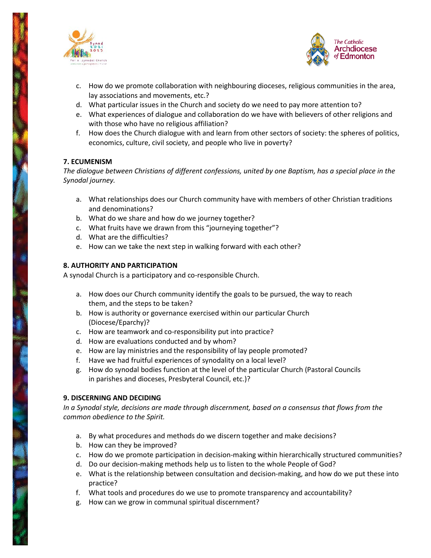



- c. How do we promote collaboration with neighbouring dioceses, religious communities in the area, lay associations and movements, etc.?
- d. What particular issues in the Church and society do we need to pay more attention to?
- e. What experiences of dialogue and collaboration do we have with believers of other religions and with those who have no religious affiliation?
- f. How does the Church dialogue with and learn from other sectors of society: the spheres of politics, economics, culture, civil society, and people who live in poverty?

#### **7. ECUMENISM**

*The dialogue between Christians of different confessions, united by one Baptism, has a special place in the Synodal journey.* 

- a. What relationships does our Church community have with members of other Christian traditions and denominations?
- b. What do we share and how do we journey together?
- c. What fruits have we drawn from this "journeying together"?
- d. What are the difficulties?
- e. How can we take the next step in walking forward with each other?

# **8. AUTHORITY AND PARTICIPATION**

A synodal Church is a participatory and co-responsible Church.

- a. How does our Church community identify the goals to be pursued, the way to reach them, and the steps to be taken?
- b. How is authority or governance exercised within our particular Church (Diocese/Eparchy)?
- c. How are teamwork and co-responsibility put into practice?
- d. How are evaluations conducted and by whom?
- e. How are lay ministries and the responsibility of lay people promoted?
- f. Have we had fruitful experiences of synodality on a local level?
- g. How do synodal bodies function at the level of the particular Church (Pastoral Councils in parishes and dioceses, Presbyteral Council, etc.)?

#### **9. DISCERNING AND DECIDING**

*In a Synodal style, decisions are made through discernment, based on a consensus that flows from the common obedience to the Spirit.* 

- a. By what procedures and methods do we discern together and make decisions?
- b. How can they be improved?
- c. How do we promote participation in decision-making within hierarchically structured communities?
- d. Do our decision-making methods help us to listen to the whole People of God?
- e. What is the relationship between consultation and decision-making, and how do we put these into practice?
- f. What tools and procedures do we use to promote transparency and accountability?
- g. How can we grow in communal spiritual discernment?